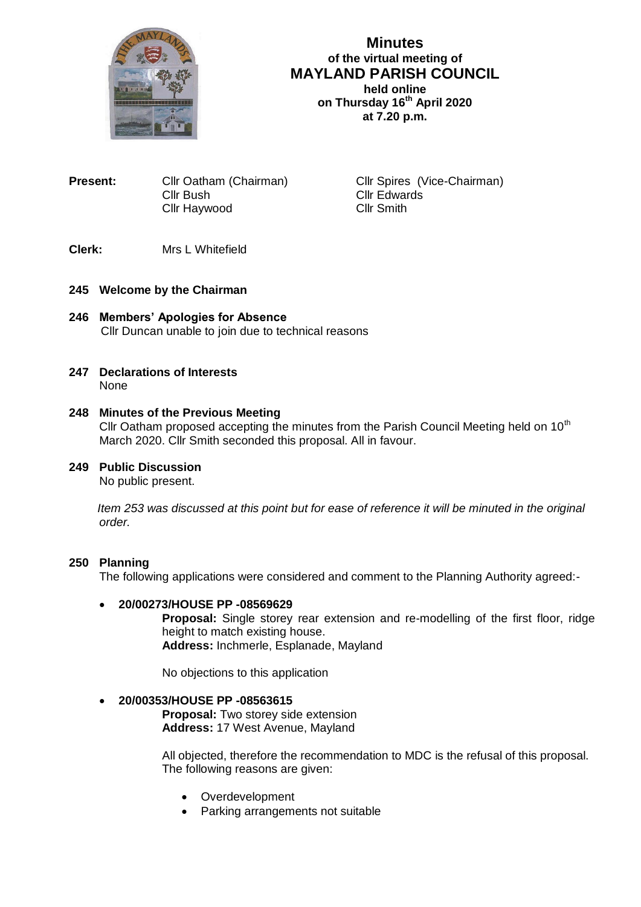

# **Minutes of the virtual meeting of MAYLAND PARISH COUNCIL held online on Thursday 16th April 2020 at 7.20 p.m.**

**Present:** Cllr Oatham (Chairman) Cllr Spires (Vice-Chairman) Cllr Bush<br>Cllr Haywood Cllr Cllr Smith Cllr Haywood

# **Clerk:** Mrs L Whitefield

## **245 Welcome by the Chairman**

- **246 Members' Apologies for Absence** Cllr Duncan unable to join due to technical reasons
- **247 Declarations of Interests** None

### **248 Minutes of the Previous Meeting**

Cllr Oatham proposed accepting the minutes from the Parish Council Meeting held on  $10<sup>th</sup>$ March 2020. Cllr Smith seconded this proposal. All in favour.

### **249 Public Discussion**

No public present.

 *Item 253 was discussed at this point but for ease of reference it will be minuted in the original order.*

#### **250 Planning**

The following applications were considered and comment to the Planning Authority agreed:-

#### **20/00273/HOUSE PP -08569629**

**Proposal:** Single storey rear extension and re-modelling of the first floor, ridge height to match existing house. **Address:** Inchmerle, Esplanade, Mayland

No objections to this application

### **20/00353/HOUSE PP -08563615**

**Proposal:** Two storey side extension **Address:** 17 West Avenue, Mayland

All objected, therefore the recommendation to MDC is the refusal of this proposal. The following reasons are given:

- Overdevelopment
- Parking arrangements not suitable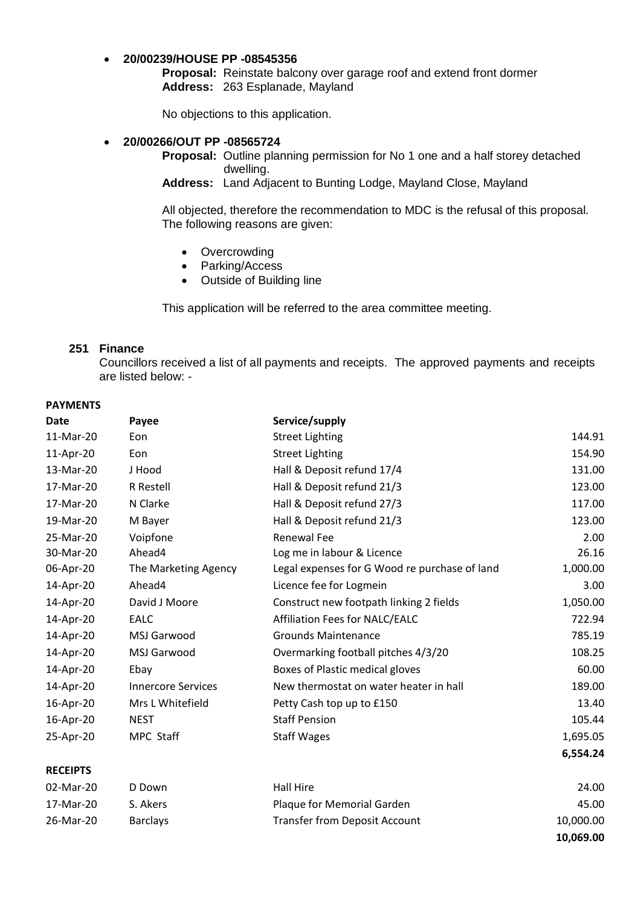### **20/00239/HOUSE PP -08545356**

**Proposal:** Reinstate balcony over garage roof and extend front dormer **Address:** 263 Esplanade, Mayland

No objections to this application.

#### **20/00266/OUT PP -08565724**

**Proposal:** Outline planning permission for No 1 one and a half storey detached dwelling.

**Address:** Land Adjacent to Bunting Lodge, Mayland Close, Mayland

All objected, therefore the recommendation to MDC is the refusal of this proposal. The following reasons are given:

- Overcrowding
- Parking/Access
- Outside of Building line

This application will be referred to the area committee meeting.

### **251 Finance**

Councillors received a list of all payments and receipts. The approved payments and receipts are listed below: -

#### **PAYMENTS**

| <b>Date</b>     | Payee                     | Service/supply                                |           |
|-----------------|---------------------------|-----------------------------------------------|-----------|
| 11-Mar-20       | Eon                       | <b>Street Lighting</b>                        | 144.91    |
| 11-Apr-20       | Eon                       | <b>Street Lighting</b>                        | 154.90    |
| 13-Mar-20       | J Hood                    | Hall & Deposit refund 17/4                    | 131.00    |
| 17-Mar-20       | R Restell                 | Hall & Deposit refund 21/3                    | 123.00    |
| 17-Mar-20       | N Clarke                  | Hall & Deposit refund 27/3                    | 117.00    |
| 19-Mar-20       | M Bayer                   | Hall & Deposit refund 21/3                    | 123.00    |
| 25-Mar-20       | Voipfone                  | <b>Renewal Fee</b>                            | 2.00      |
| 30-Mar-20       | Ahead4                    | Log me in labour & Licence                    | 26.16     |
| 06-Apr-20       | The Marketing Agency      | Legal expenses for G Wood re purchase of land | 1,000.00  |
| 14-Apr-20       | Ahead4                    | Licence fee for Logmein                       | 3.00      |
| 14-Apr-20       | David J Moore             | Construct new footpath linking 2 fields       | 1,050.00  |
| 14-Apr-20       | <b>EALC</b>               | Affiliation Fees for NALC/EALC                | 722.94    |
| 14-Apr-20       | MSJ Garwood               | <b>Grounds Maintenance</b>                    | 785.19    |
| 14-Apr-20       | MSJ Garwood               | Overmarking football pitches 4/3/20           | 108.25    |
| 14-Apr-20       | Ebay                      | Boxes of Plastic medical gloves               | 60.00     |
| 14-Apr-20       | <b>Innercore Services</b> | New thermostat on water heater in hall        | 189.00    |
| 16-Apr-20       | Mrs L Whitefield          | Petty Cash top up to £150                     | 13.40     |
| 16-Apr-20       | <b>NEST</b>               | <b>Staff Pension</b>                          | 105.44    |
| 25-Apr-20       | MPC Staff                 | <b>Staff Wages</b>                            | 1,695.05  |
|                 |                           |                                               | 6,554.24  |
| <b>RECEIPTS</b> |                           |                                               |           |
| 02-Mar-20       | D Down                    | <b>Hall Hire</b>                              | 24.00     |
| 17-Mar-20       | S. Akers                  | Plaque for Memorial Garden                    | 45.00     |
| 26-Mar-20       | <b>Barclays</b>           | <b>Transfer from Deposit Account</b>          | 10,000.00 |
|                 |                           |                                               | 10,069.00 |